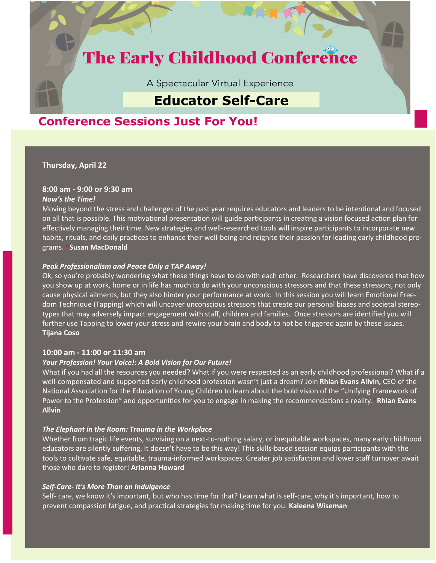# **The Early Childhood Conference**

A Spectacular Virtual Experience

# **Educator Self-Care**

# **Conference Sessions Just For You!**

**Thursday, April 22**

# **8:00 am - 9:00 or 9:30 am**

### *Now's the Time!*

Moving beyond the stress and challenges of the past year requires educators and leaders to be intentional and focused on all that is possible. This motivational presentation will guide participants in creating a vision focused action plan for effectively managing their time. New strategies and well-researched tools will inspire participants to incorporate new habits, rituals, and daily practices to enhance their well-being and reignite their passion for leading early childhood programs. **\*Susan MacDonald**

# *Peak Professionalism and Peace Only a TAP Away!*

Ok, so you're probably wondering what these things have to do with each other. Researchers have discovered that how you show up at work, home or in life has much to do with your unconscious stressors and that these stressors, not only cause physical ailments, but they also hinder your performance at work. In this session you will learn Emotional Freedom Technique (Tapping) which will uncover unconscious stressors that create our personal biases and societal stereotypes that may adversely impact engagement with staff, children and families. Once stressors are identified you will further use Tapping to lower your stress and rewire your brain and body to not be triggered again by these issues. **Tijana Coso**

# **10:00 am - 11:00 or 11:30 am**

# *Your Profession! Your Voice!: A Bold Vision for Our Future!*

What if you had all the resources you needed? What if you were respected as an early childhood professional? What if a well-compensated and supported early childhood profession wasn't just a dream? Join **Rhian Evans Allvin,** CEO of the National Association for the Education of Young Children to learn about the bold vision of the "Unifying Framework of Power to the Profession" and opportunities for you to engage in making the recommendations a reality.**\*Rhian Evans Allvin**

# *The Elephant in the Room: Trauma in the Workplace*

Whether from tragic life events, surviving on a next-to-nothing salary, or inequitable workspaces, many early childhood educators are silently suffering. It doesn't have to be this way! This skills-based session equips participants with the tools to cultivate safe, equitable, trauma-informed workspaces. Greater job satisfaction and lower staff turnover await those who dare to register! **Arianna Howard**

# *Self-Care- It's More Than an Indulgence*

Self- care, we know it's important, but who has time for that? Learn what is self-care, why it's important, how to prevent compassion fatigue, and practical strategies for making time for you. **Kaleena Wiseman**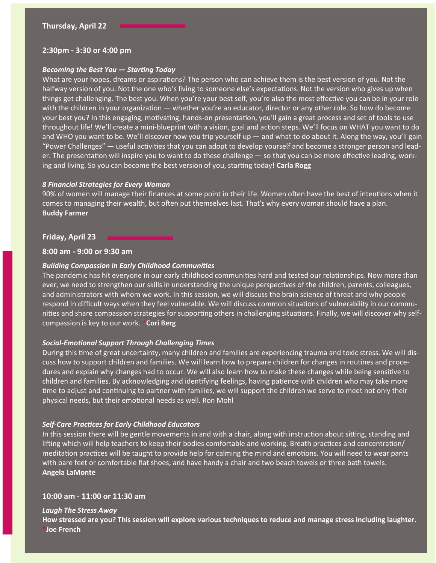#### **2:30pm - 3:30 or 4:00 pm**

#### *Becoming the Best You — Starting Today*

What are your hopes, dreams or aspirations? The person who can achieve them is the best version of you. Not the halfway version of you. Not the one who's living to someone else's expectations. Not the version who gives up when things get challenging. The best you. When you're your best self, you're also the most effective you can be in your role with the children in your organization — whether you're an educator, director or any other role. So how do become your best you? In this engaging, motivating, hands-on presentation, you'll gain a great process and set of tools to use throughout life! We'll create a mini-blueprint with a vision, goal and action steps. We'll focus on WHAT you want to do and WHO you want to be. We'll discover how you trip yourself up — and what to do about it. Along the way, you'll gain "Power Challenges" — useful activities that you can adopt to develop yourself and become a stronger person and leader. The presentation will inspire you to want to do these challenge — so that you can be more effective leading, working and living. So you can become the best version of you, starting today! **Carla Rogg**

#### *8 Financial Strategies for Every Woman*

90% of women will manage their finances at some point in their life. Women often have the best of intentions when it comes to managing their wealth, but often put themselves last. That's why every woman should have a plan. **Buddy Farmer**

#### **Friday, April 23**

#### **8:00 am - 9:00 or 9:30 am**

#### *Building Compassion in Early Childhood Communities*

The pandemic has hit everyone in our early childhood communities hard and tested our relationships. Now more than ever, we need to strengthen our skills in understanding the unique perspectives of the children, parents, colleagues, and administrators with whom we work. In this session, we will discuss the brain science of threat and why people respond in difficult ways when they feel vulnerable. We will discuss common situations of vulnerability in our communities and share compassion strategies for supporting others in challenging situations. Finally, we will discover why selfcompassion is key to our work. **\*Cori Berg**

#### *Social-Emotional Support Through Challenging Times*

During this time of great uncertainty, many children and families are experiencing trauma and toxic stress. We will discuss how to support children and families. We will learn how to prepare children for changes in routines and procedures and explain why changes had to occur. We will also learn how to make these changes while being sensitive to children and families. By acknowledging and identifying feelings, having patience with children who may take more time to adjust and continuing to partner with families, we will support the children we serve to meet not only their physical needs, but their emotional needs as well. Ron Mohl

#### *Self-Care Practices for Early Childhood Educators*

In this session there will be gentle movements in and with a chair, along with instruction about sitting, standing and lifting which will help teachers to keep their bodies comfortable and working. Breath practices and concentration/ meditation practices will be taught to provide help for calming the mind and emotions. You will need to wear pants with bare feet or comfortable flat shoes, and have handy a chair and two beach towels or three bath towels. **Angela LaMonte**

#### **10:00 am - 11:00 or 11:30 am**

#### *Laugh The Stress Away*

**How stressed are you? This session will explore various techniques to reduce and manage stress including laughter. \*Joe French**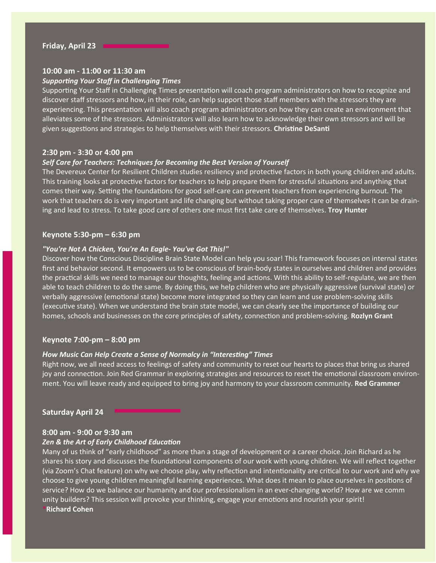#### **10:00 am - 11:00 or 11:30 am**

#### *Supporting Your Staff in Challenging Times*

Supporting Your Staff in Challenging Times presentation will coach program administrators on how to recognize and discover staff stressors and how, in their role, can help support those staff members with the stressors they are experiencing. This presentation will also coach program administrators on how they can create an environment that alleviates some of the stressors. Administrators will also learn how to acknowledge their own stressors and will be given suggestions and strategies to help themselves with their stressors. **Christine DeSanti**

#### **2:30 pm - 3:30 or 4:00 pm**

# *Self Care for Teachers: Techniques for Becoming the Best Version of Yourself*

The Devereux Center for Resilient Children studies resiliency and protective factors in both young children and adults. This training looks at protective factors for teachers to help prepare them for stressful situations and anything that comes their way. Setting the foundations for good self-care can prevent teachers from experiencing burnout. The work that teachers do is very important and life changing but without taking proper care of themselves it can be draining and lead to stress. To take good care of others one must first take care of themselves. **Troy Hunter**

#### **Keynote 5:30-pm – 6:30 pm**

#### *"You're Not A Chicken, You're An Eagle- You've Got This!"*

Discover how the Conscious Discipline Brain State Model can help you soar! This framework focuses on internal states first and behavior second. It empowers us to be conscious of brain-body states in ourselves and children and provides the practical skills we need to manage our thoughts, feeling and actions. With this ability to self-regulate, we are then able to teach children to do the same. By doing this, we help children who are physically aggressive (survival state) or verbally aggressive (emotional state) become more integrated so they can learn and use problem-solving skills (executive state). When we understand the brain state model, we can clearly see the importance of building our homes, schools and businesses on the core principles of safety, connection and problem-solving. **Rozlyn Grant**

#### **Keynote 7:00-pm – 8:00 pm**

#### *How Music Can Help Create a Sense of Normalcy in "Interesting" Times*

Right now, we all need access to feelings of safety and community to reset our hearts to places that bring us shared joy and connection. Join Red Grammar in exploring strategies and resources to reset the emotional classroom environment. You will leave ready and equipped to bring joy and harmony to your classroom community. **Red Grammer**

#### **Saturday April 24**

### **8:00 am - 9:00 or 9:30 am**  *Zen & the Art of Early Childhood Education*

Many of us think of "early childhood" as more than a stage of development or a career choice. Join Richard as he shares his story and discusses the foundational components of our work with young children. We will reflect together (via Zoom's Chat feature) on why we choose play, why reflection and intentionality are critical to our work and why we choose to give young children meaningful learning experiences. What does it mean to place ourselves in positions of service? How do we balance our humanity and our professionalism in an ever-changing world? How are we comm unity builders? This session will provoke your thinking, engage your emotions and nourish your spirit! **\*Richard Cohen**